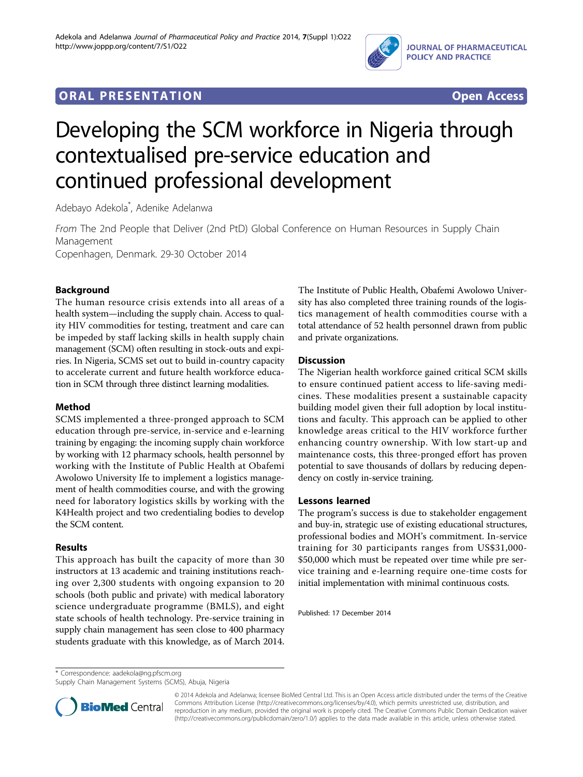

# **ORAL PRESENTATION CONSUMING ACCESS**



# Developing the SCM workforce in Nigeria through contextualised pre-service education and continued professional development

Adebayo Adekola\* , Adenike Adelanwa

From The 2nd People that Deliver (2nd PtD) Global Conference on Human Resources in Supply Chain Management Copenhagen, Denmark. 29-30 October 2014

## Background

The human resource crisis extends into all areas of a health system—including the supply chain. Access to quality HIV commodities for testing, treatment and care can be impeded by staff lacking skills in health supply chain management (SCM) often resulting in stock-outs and expiries. In Nigeria, SCMS set out to build in-country capacity to accelerate current and future health workforce education in SCM through three distinct learning modalities.

### Method

SCMS implemented a three-pronged approach to SCM education through pre-service, in-service and e-learning training by engaging: the incoming supply chain workforce by working with 12 pharmacy schools, health personnel by working with the Institute of Public Health at Obafemi Awolowo University Ife to implement a logistics management of health commodities course, and with the growing need for laboratory logistics skills by working with the K4Health project and two credentialing bodies to develop the SCM content.

### Results

This approach has built the capacity of more than 30 instructors at 13 academic and training institutions reaching over 2,300 students with ongoing expansion to 20 schools (both public and private) with medical laboratory science undergraduate programme (BMLS), and eight state schools of health technology. Pre-service training in supply chain management has seen close to 400 pharmacy students graduate with this knowledge, as of March 2014. The Institute of Public Health, Obafemi Awolowo University has also completed three training rounds of the logistics management of health commodities course with a total attendance of 52 health personnel drawn from public and private organizations.

### **Discussion**

The Nigerian health workforce gained critical SCM skills to ensure continued patient access to life-saving medicines. These modalities present a sustainable capacity building model given their full adoption by local institutions and faculty. This approach can be applied to other knowledge areas critical to the HIV workforce further enhancing country ownership. With low start-up and maintenance costs, this three-pronged effort has proven potential to save thousands of dollars by reducing dependency on costly in-service training.

#### Lessons learned

The program's success is due to stakeholder engagement and buy-in, strategic use of existing educational structures, professional bodies and MOH's commitment. In-service training for 30 participants ranges from US\$31,000- \$50,000 which must be repeated over time while pre service training and e-learning require one-time costs for initial implementation with minimal continuous costs.

Published: 17 December 2014

Supply Chain Management Systems (SCMS), Abuja, Nigeria



© 2014 Adekola and Adelanwa; licensee BioMed Central Ltd. This is an Open Access article distributed under the terms of the Creative Commons Attribution License [\(http://creativecommons.org/licenses/by/4.0](http://creativecommons.org/licenses/by/4.0)), which permits unrestricted use, distribution, and reproduction in any medium, provided the original work is properly cited. The Creative Commons Public Domain Dedication waiver [\(http://creativecommons.org/publicdomain/zero/1.0/](http://creativecommons.org/publicdomain/zero/1.0/)) applies to the data made available in this article, unless otherwise stated.

<sup>\*</sup> Correspondence: [aadekola@ng.pfscm.org](mailto:aadekola@ng.pfscm.org)